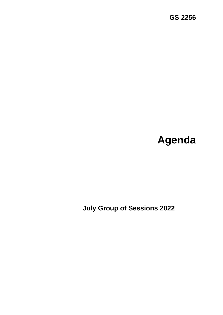# **Agenda**

 **July Group of Sessions 2022**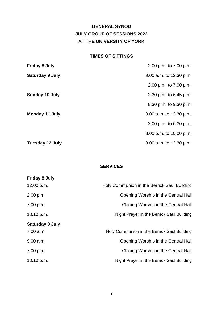## **GENERAL SYNOD JULY GROUP OF SESSIONS 2022 AT THE UNIVERSITY OF YORK**

#### **TIMES OF SITTINGS**

| <b>Friday 8 July</b>   | 2.00 p.m. to 7.00 p.m.  |
|------------------------|-------------------------|
| <b>Saturday 9 July</b> | 9.00 a.m. to 12.30 p.m. |
|                        | 2.00 p.m. to 7.00 p.m.  |
| Sunday 10 July         | 2.30 p.m. to 6.45 p.m.  |
|                        | 8.30 p.m. to 9.30 p.m.  |
| Monday 11 July         | 9.00 a.m. to 12.30 p.m. |
|                        | 2.00 p.m. to 6.30 p.m.  |
|                        | 8.00 p.m. to 10.00 p.m. |
| <b>Tuesday 12 July</b> | 9.00 a.m. to 12.30 p.m. |

## **SERVICES**

| <b>Friday 8 July</b>   |                                             |
|------------------------|---------------------------------------------|
| 12.00 p.m.             | Holy Communion in the Berrick Saul Building |
| 2.00 p.m.              | Opening Worship in the Central Hall         |
| 7.00 p.m.              | Closing Worship in the Central Hall         |
| 10.10 $p.m.$           | Night Prayer in the Berrick Saul Building   |
| <b>Saturday 9 July</b> |                                             |
| 7.00 a.m.              | Holy Communion in the Berrick Saul Building |
| 9.00 a.m.              | Opening Worship in the Central Hall         |
| 7.00 p.m.              | Closing Worship in the Central Hall         |
| 10.10 $p.m.$           | Night Prayer in the Berrick Saul Building   |
|                        |                                             |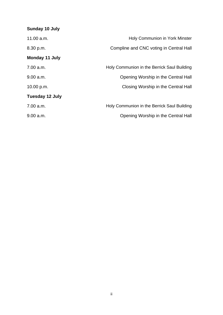## **Sunday 10 July**  11.00 a.m. **Mature 20 a.m.** Holy Communion in York Minster 8.30 p.m. Compline and CNC voting in Central Hall **Monday 11 July**  7.00 a.m. Holy Communion in the Berrick Saul Building 9.00 a.m. Opening Worship in the Central Hall 10.00 p.m. Closing Worship in the Central Hall **Tuesday 12 July**  7.00 a.m. Holy Communion in the Berrick Saul Building 9.00 a.m. Opening Worship in the Central Hall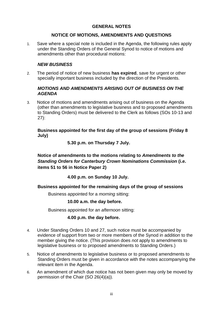## **GENERAL NOTES**

## **NOTICE OF MOTIONS, AMENDMENTS AND QUESTIONS**

1. Save where a special note is included in the Agenda, the following rules apply under the Standing Orders of the General Synod to notice of motions and amendments other than procedural motions:

## *NEW BUSINESS*

2. The period of notice of new business **has expired**, save for urgent or other specially important business included by the direction of the Presidents.

## *MOTIONS AND AMENDMENTS ARISING OUT OF BUSINESS ON THE AGENDA*

3. Notice of motions and amendments arising out of business on the Agenda (other than amendments to legislative business and to proposed amendments to Standing Orders) must be delivered to the Clerk as follows (SOs 10-13 and 27):

## **Business appointed for the first day of the group of sessions (Friday 8 July)**

## **5.30 p.m. on Thursday 7 July.**

**Notice of amendments to the motions relating to** *Amendments to the Standing Orders for Canterbury Crown Nominations Commission* **(i.e. items 51 to 56 in Notice Paper 2)** 

**4.00 p.m. on Sunday 10 July.**

## **Business appointed for the remaining days of the group of sessions**

Business appointed for a *morning* sitting:

#### **10.00 a.m. the day before.**

Business appointed for an *afternoon* sitting:

#### **4.00 p.m. the day before.**

- 4. Under Standing Orders 10 and 27, such notice must be accompanied by evidence of support from two or more members of the Synod in addition to the member giving the notice. (This provision does *not* apply to amendments to legislative business or to proposed amendments to Standing Orders.)
- 5. Notice of amendments to legislative business or to proposed amendments to Standing Orders must be given in accordance with the notes accompanying the relevant item in the Agenda.
- 6. An amendment of which due notice has not been given may only be moved by permission of the Chair (SO 26(4)(a)).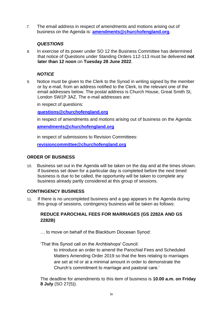*7.* The email address in respect of amendments and motions arising out of business on the Agenda is: **[amendments@churchofengland.org](mailto:amendments@churchofengland.org)**.

## *QUESTIONS*

8. In exercise of its power under SO 12 the Business Committee has determined that notice of Questions under Standing Orders 112-113 must be delivered **not later than 12 noon** on **Tuesday 28 June 2022**.

#### *NOTICE*

9. Notice must be given to the Clerk to the Synod in writing signed by the member or by e-mail, from an address notified to the Clerk, to the relevant one of the email addresses below. The postal address is Church House, Great Smith St, London SW1P 3AZ. The e-mail addresses are:

in respect of questions:

**[questions@churchofengland.org](mailto:questions@churchofengland.org)**

in respect of amendments and motions arising out of business on the Agenda:

**[amendments@churchofengland.org](mailto:amendments@churchofengland.org)**

in respect of submissions to Revision Committees:

**[revisioncommittee@churchofengland.org](mailto:revisioncommittee@churchofengland.org)**

#### **ORDER OF BUSINESS**

10. Business set out in the Agenda will be taken on the day and at the times shown. If business set down for a particular day is completed before the next timed business is due to be called, the opportunity will be taken to complete any business already partly considered at this group of sessions.

#### **CONTINGENCY BUSINESS**

11. If there is no uncompleted business and a gap appears in the Agenda during this group of sessions, contingency business will be taken as follows:

## **REDUCE PAROCHIAL FEES FOR MARRIAGES (GS 2282A AND GS 2282B)**

… to move on behalf of the Blackburn Diocesan Synod:

'That this Synod call on the Archbishops' Council:

to introduce an order to amend the Parochial Fees and Scheduled Matters Amending Order 2019 so that the fees relating to marriages are set at nil or at a minimal amount in order to demonstrate the Church's commitment to marriage and pastoral care.'

The deadline for amendments to this item of business is **10.00 a.m. on Friday 8 July** (SO 27(5)).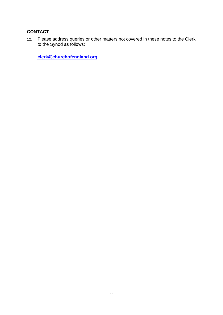## **CONTACT**

12. Please address queries or other matters not covered in these notes to the Clerk to the Synod as follows:

**[clerk@churchofengland.org](mailto:clerk@churchofengland.org)**.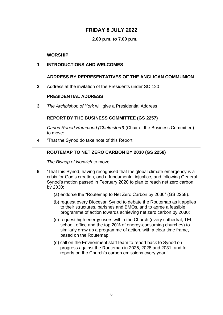## **FRIDAY 8 JULY 2022**

#### **2.00 p.m. to 7.00 p.m.**

#### **WORSHIP**

#### **1 INTRODUCTIONS AND WELCOMES**

## **ADDRESS BY REPRESENTATIVES OF THE ANGLICAN COMMUNION**

**2** Address at the invitation of the Presidents under SO 120

## **PRESIDENTIAL ADDRESS**

**3** *The Archbishop of York* will give a Presidential Address

#### **REPORT BY THE BUSINESS COMMITTEE (GS 2257)**

*Canon Robert Hammond (Chelmsford)* (Chair of the Business Committee) to move:

**4** 'That the Synod do take note of this Report.'

## **ROUTEMAP TO NET ZERO CARBON BY 2030 (GS 2258)**

*The Bishop of Norwich* to move:

- **5** 'That this Synod, having recognised that the global climate emergency is a crisis for God's creation, and a fundamental injustice, and following General Synod's motion passed in February 2020 to plan to reach net zero carbon by 2030:
	- (a) endorse the "Routemap to Net Zero Carbon by 2030" (GS 2258).
	- (b) request every Diocesan Synod to debate the Routemap as it applies to their structures, parishes and BMOs, and to agree a feasible programme of action towards achieving net zero carbon by 2030;
	- (c) request high energy users within the Church (every cathedral, TEI, school, office and the top 20% of energy-consuming churches) to similarly draw up a programme of action, with a clear time frame, based on the Routemap.
	- (d) call on the Environment staff team to report back to Synod on progress against the Routemap in 2025, 2028 and 2031, and for reports on the Church's carbon emissions every year.'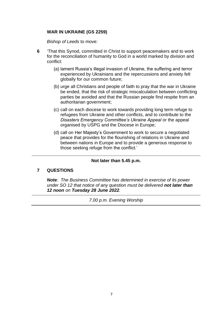## **WAR IN UKRAINE (GS 2259)**

*Bishop of Leeds* to move:

- **6** 'That this Synod, committed in Christ to support peacemakers and to work for the reconciliation of humanity to God in a world marked by division and conflict:
	- (a) lament Russia's illegal invasion of Ukraine, the suffering and terror experienced by Ukrainians and the repercussions and anxiety felt globally for our common future;
	- (b) urge all Christians and people of faith to pray that the war in Ukraine be ended, that the risk of strategic miscalculation between conflicting parties be avoided and that the Russian people find respite from an authoritarian government;
	- (c) call on each diocese to work towards providing long term refuge to refugees from Ukraine and other conflicts, and to contribute to the *Disasters Emergency Committee's Ukraine Appeal* or the appeal organised by USPG and the Diocese in Europe;
	- (d) call on Her Majesty's Government to work to secure a negotiated peace that provides for the flourishing of relations in Ukraine and between nations in Europe and to provide a generous response to those seeking refuge from the conflict.'

#### **Not later than 5.45 p.m.**

#### **7 QUESTIONS**

*Note: The Business Committee has determined in exercise of its power under SO 12 that notice of any question must be delivered not later than 12 noon on Tuesday 28 June 2022.*

*7.00 p.m. Evening Worship*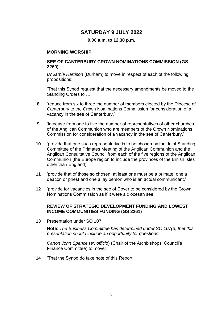## **SATURDAY 9 JULY 2022**

**9.00 a.m. to 12.30 p.m.**

#### **MORNING WORSHIP**

#### **SEE OF CANTERBURY CROWN NOMINATIONS COMMISSION (GS 2260)**

*Dr Jamie Harrison* (Durham) to move in respect of each of the following propositions:

'That this Synod request that the necessary amendments be moved to the Standing Orders to …'

- **8** 'reduce from six to three the number of members elected by the Diocese of Canterbury to the Crown Nominations Commission for consideration of a vacancy in the see of Canterbury.'
- **9** 'increase from one to five the number of representatives of other churches of the Anglican Communion who are members of the Crown Nominations Commission for consideration of a vacancy in the see of Canterbury.'
- **10** 'provide that one such representative is to be chosen by the Joint Standing Committee of the Primates Meeting of the Anglican Communion and the Anglican Consultative Council from each of the five regions of the Anglican Communion (the Europe region to include the provinces of the British Isles other than England).'
- **11** 'provide that of those so chosen, at least one must be a primate, one a deacon or priest and one a lay person who is an actual communicant.'
- **12** 'provide for vacancies in the see of Dover to be considered by the Crown Nominations Commission as if it were a diocesan see.'

## **REVIEW OF STRATEGIC DEVELOPMENT FUNDING AND LOWEST INCOME COMMUNITIES FUNDING (GS 2261)**

**13** Presentation under SO 107

**Note**: *The Business Committee has determined under SO 107(3) that this presentation should include an opportunity for questions.*

*Canon John Spence* (*ex officio*) (Chair of the Archbishops' Council's Finance Committee) to move:

**14** 'That the Synod do take note of this Report.'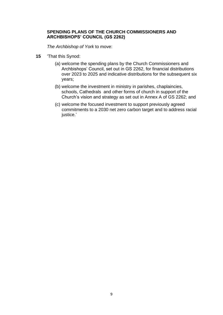## **SPENDING PLANS OF THE CHURCH COMMISSIONERS AND ARCHBISHOPS' COUNCIL (GS 2262)**

*The Archbishop of York* to move:

- **15** 'That this Synod:
	- (a) welcome the spending plans by the Church Commissioners and Archbishops' Council, set out in GS 2262, for financial distributions over 2023 to 2025 and indicative distributions for the subsequent six years;
	- (b) welcome the investment in ministry in parishes, chaplaincies, schools, Cathedrals and other forms of church in support of the Church's vision and strategy as set out in Annex A of GS 2262; and
	- (c) welcome the focused investment to support previously agreed commitments to a 2030 net zero carbon target and to address racial justice.'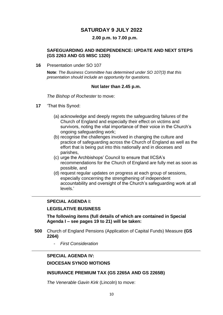## **SATURDAY 9 JULY 2022**

#### **2.00 p.m. to 7.00 p.m.**

#### **SAFEGUARDING AND INDEPENDENCE: UPDATE AND NEXT STEPS (GS 2263 AND GS MISC 1320)**

**16** Presentation under SO 107

**Note**: *The Business Committee has determined under SO 107(3) that this presentation should include an opportunity for questions.*

#### **Not later than 2.45 p.m.**

*The Bishop of Rochester* to move:

- **17** 'That this Synod:
	- (a) acknowledge and deeply regrets the safeguarding failures of the Church of England and especially their effect on victims and survivors, noting the vital importance of their voice in the Church's ongoing safeguarding work;
	- (b) recognise the challenges involved in changing the culture and practice of safeguarding across the Church of England as well as the effort that is being put into this nationally and in dioceses and parishes,
	- (c) urge the Archbishops' Council to ensure that IICSA's recommendations for the Church of England are fully met as soon as possible, and
	- (d) request regular updates on progress at each group of sessions, especially concerning the strengthening of independent accountability and oversight of the Church's safeguarding work at all levels.'

#### **SPECIAL AGENDA I:**

#### **LEGISLATIVE BUSINESS**

**The following items (full details of which are contained in Special Agenda I – see pages 19 to 21) will be taken:**

- **500** Church of England Pensions (Application of Capital Funds) Measure **(GS 2264)**
	- *First Consideration*

#### **SPECIAL AGENDA IV:**

#### **DIOCESAN SYNOD MOTIONS**

#### **INSURANCE PREMIUM TAX (GS 2265A AND GS 2265B)**

*The Venerable Gavin Kirk* (Lincoln) to move: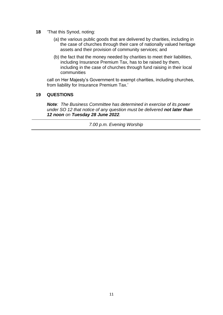- **18** 'That this Synod, noting:
	- (a) the various public goods that are delivered by charities, including in the case of churches through their care of nationally valued heritage assets and their provision of community services; and
	- (b) the fact that the money needed by charities to meet their liabilities, including Insurance Premium Tax, has to be raised by them, including in the case of churches through fund raising in their local communities

call on Her Majesty's Government to exempt charities, including churches, from liability for Insurance Premium Tax.'

## **19 QUESTIONS**

*Note: The Business Committee has determined in exercise of its power under SO 12 that notice of any question must be delivered not later than 12 noon on Tuesday 28 June 2022.*

*7.00 p.m. Evening Worship*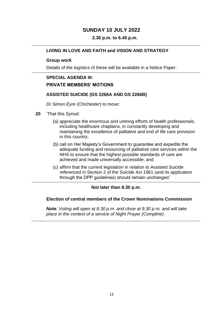## **SUNDAY 10 JULY 2022**

## **2.30 p.m. to 6.45 p.m.**

## **LIVING IN LOVE AND FAITH and VISION AND STRATEGY**

#### **Group work**

Details of the logistics of these will be available in a Notice Paper.

## **SPECIAL AGENDA III:**

#### **PRIVATE MEMBERS' MOTIONS**

#### **ASSISTED SUICIDE (GS 2266A AND GS 2266B)**

*Dr Simon Eyre* (Chichester) to move:

- **20** 'That this Synod:
	- (a) appreciate the enormous and untiring efforts of health professionals, including healthcare chaplains, in constantly developing and maintaining the excellence of palliative and end of life care provision in this country;
	- (b) call on Her Majesty's Government to guarantee and expedite the adequate funding and resourcing of palliative care services within the NHS to ensure that the highest possible standards of care are achieved and made universally accessible; and
	- (c) affirm that the current legislation in relation to Assisted Suicide referenced in Section 2 of the Suicide Act 1961 (and its application through the DPP guidelines) should remain unchanged.'

#### **Not later than 8.30 p.m.**

## **Election of central members of the Crown Nominations Commission**

*Note: Voting will open at 8.30 p.m. and close at 9.30 p.m. and will take place in the context of a service of Night Prayer (Compline).*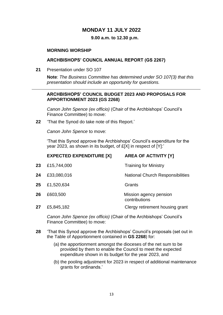## **MONDAY 11 JULY 2022**

#### **9.00 a.m. to 12.30 p.m.**

#### **MORNING WORSHIP**

#### **ARCHBISHOPS' COUNCIL ANNUAL REPORT (GS 2267)**

**21** Presentation under SO 107

**Note**: *The Business Committee has determined under SO 107(3) that this presentation should include an opportunity for questions.*

#### **ARCHBISHOPS' COUNCIL BUDGET 2023 AND PROPOSALS FOR APPORTIONMENT 2023 (GS 2268)**

*Canon John Spence (ex officio)* (Chair of the Archbishops' Council's Finance Committee) to move:

**22** 'That the Synod do take note of this Report.'

*Canon John Spence* to move:

'That this Synod approve the Archbishops' Council's expenditure for the year 2023, as shown in its budget, of £[X] in respect of [Y]:'

|    | <b>EXPECTED EXPENDITURE [X]</b> | <b>AREA OF ACTIVITY [Y]</b>             |
|----|---------------------------------|-----------------------------------------|
| 23 | £15,744,000                     | <b>Training for Ministry</b>            |
| 24 | £33,080,016                     | <b>National Church Responsibilities</b> |
| 25 | £1,520,634                      | Grants                                  |
| 26 | £603,500                        | Mission agency pension<br>contributions |
| 27 | £5,845,182                      | Clergy retirement housing grant         |

*Canon John Spence (ex officio)* (Chair of the Archbishops' Council's Finance Committee) to move:

- **28** 'That this Synod approve the Archbishops' Council's proposals (set out in the Table of Apportionment contained in **GS 2268**) for:
	- (a) the apportionment amongst the dioceses of the net sum to be provided by them to enable the Council to meet the expected expenditure shown in its budget for the year 2023, and
	- (b) the pooling adjustment for 2023 in respect of additional maintenance grants for ordinands.'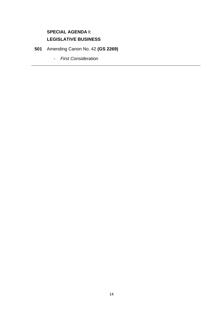## **SPECIAL AGENDA I: LEGISLATIVE BUSINESS**

**501** Amending Canon No. 42 **(GS 2269)**

- *First Consideration*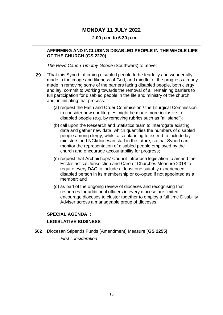## **MONDAY 11 JULY 2022**

#### **2.00 p.m. to 6.30 p.m.**

#### **AFFIRMING AND INCLUDING DISABLED PEOPLE IN THE WHOLE LIFE OF THE CHURCH (GS 2270)**

*The Revd Canon Timothy Goode* (Southwark) to move:

- **29** 'That this Synod, affirming disabled people to be fearfully and wonderfully made in the image and likeness of God, and mindful of the progress already made in removing some of the barriers facing disabled people, both clergy and lay, commit to working towards the removal of all remaining barriers to full participation for disabled people in the life and ministry of the church, and, in initiating that process:
	- (a) request the Faith and Order Commission / the Liturgical Commission to consider how our liturgies might be made more inclusive to disabled people (e.g. by removing rubrics such as "all stand");
	- (b) call upon the Research and Statistics team to interrogate existing data and gather new data, which quantifies the numbers of disabled people among clergy, whilst also planning to extend to include lay ministers and NCI/diocesan staff in the future, so that Synod can monitor the representation of disabled people employed by the church and encourage accountability for progress;
	- (c) request that Archbishops' Council introduce legislation to amend the Ecclesiastical Jurisdiction and Care of Churches Measure 2018 to require every DAC to include at least one suitably experienced disabled person in its membership or co-opted if not appointed as a member; and
	- (d) as part of the ongoing review of dioceses and recognising that resources for additional officers in every diocese are limited, encourage dioceses to cluster together to employ a full time Disability Adviser across a manageable group of dioceses.'

## **SPECIAL AGENDA I:**

## **LEGISLATIVE BUSINESS**

- **502** Diocesan Stipends Funds (Amendment) Measure (**GS 2255)**
	- *First consideration*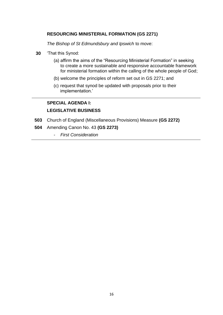## **RESOURCING MINISTERIAL FORMATION (GS 2271)**

*The Bishop of St Edmundsbury and Ipswich* to move:

- **30** 'That this Synod:
	- (a) affirm the aims of the "Resourcing Ministerial Formation" in seeking to create a more sustainable and responsive accountable framework for ministerial formation within the calling of the whole people of God;
	- (b) welcome the principles of reform set out in GS 2271; and
	- (c) request that synod be updated with proposals prior to their implementation.'

## **SPECIAL AGENDA I:**

## **LEGISLATIVE BUSINESS**

- **503** Church of England (Miscellaneous Provisions) Measure **(GS 2272)**
- **504** Amending Canon No. 43 **(GS 2273)**
	- *First Consideration*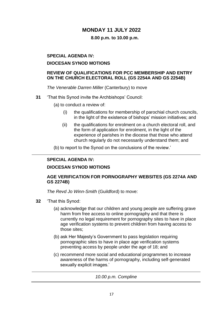## **MONDAY 11 JULY 2022**

## **8.00 p.m. to 10.00 p.m.**

## **SPECIAL AGENDA IV:**

#### **DIOCESAN SYNOD MOTIONS**

## **REVIEW OF QUALIFICATIONS FOR PCC MEMBERSHIP AND ENTRY ON THE CHURCH ELECTORAL ROLL (GS 2254A AND GS 2254B)**

*The Venerable Darren Miller* (Canterbury) to move

- **31** 'That this Synod invite the Archbishops' Council:
	- (a) to conduct a review of:
		- (i) the qualifications for membership of parochial church councils, in the light of the existence of bishops' mission initiatives; and
		- (ii) the qualifications for enrolment on a church electoral roll, and the form of application for enrolment, in the light of the experience of parishes in the diocese that those who attend church regularly do not necessarily understand them; and

(b) to report to the Synod on the conclusions of the review.'

## **SPECIAL AGENDA IV:**

## **DIOCESAN SYNOD MOTIONS**

## **AGE VERIFICATION FOR PORNOGRAPHY WEBSITES (GS 2274A AND GS 2274B)**

*The Revd Jo Winn-Smith* (Guildford) to move:

- **32** 'That this Synod:
	- (a) acknowledge that our children and young people are suffering grave harm from free access to online pornography and that there is currently no legal requirement for pornography sites to have in place age verification systems to prevent children from having access to those sites;
	- (b) ask Her Majesty's Government to pass legislation requiring pornographic sites to have in place age verification systems preventing access by people under the age of 18; and
	- (c) recommend more social and educational programmes to increase awareness of the harms of pornography, including self-generated sexually explicit images.'

|  |  | 10.00 p.m. Compline |  |
|--|--|---------------------|--|
|--|--|---------------------|--|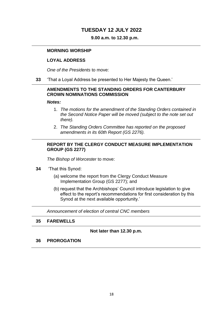## **TUESDAY 12 JULY 2022**

#### **9.00 a.m. to 12.30 p.m.**

#### **MORNING WORSHIP**

#### **LOYAL ADDRESS**

*One of the Presidents* to move:

**33** 'That a Loyal Address be presented to Her Majesty the Queen.'

## **AMENDMENTS TO THE STANDING ORDERS FOR CANTERBURY CROWN NOMINATIONS COMMISSION**

#### *Notes:*

- 1. *The motions for the amendment of the Standing Orders contained in the Second Notice Paper will be moved (subject to the note set out there).*
- 2. *The Standing Orders Committee has reported on the proposed amendments in its 60th Report (GS 2276).*

#### **REPORT BY THE CLERGY CONDUCT MEASURE IMPLEMENTATION GROUP (GS 2277)**

*The Bishop of Worcester* to move:

- **34** 'That this Synod:
	- (a) welcome the report from the Clergy Conduct Measure Implementation Group (GS 2277); and
	- (b) request that the Archbishops' Council introduce legislation to give effect to the report's recommendations for first consideration by this Synod at the next available opportunity.'

*Announcement of election of central CNC members* 

#### **35 FAREWELLS**

#### **Not later than 12.30 p.m.**

#### **36 PROROGATION**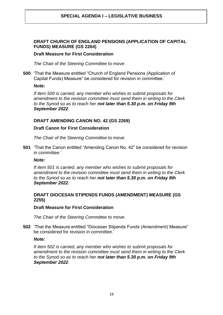## **SPECIAL AGENDA I – LEGISLATIVE BUSINESS**

## **DRAFT CHURCH OF ENGLAND PENSIONS (APPLICATION OF CAPITAL FUNDS) MEASURE (GS 2264)**

#### **Draft Measure for First Consideration**

*The Chair of the Steering Committee* to move:

**500** 'That the Measure entitled "Church of England Pensions (Application of Capital Funds) Measure" be considered for revision in committee.'

#### *Note:*

*If item 500 is carried, any member who wishes to submit proposals for amendment to the revision committee must send them in writing to the Clerk to the Synod so as to reach her not later than 5.30 p.m. on Friday 9th September 2022.*

## **DRAFT AMENDING CANON NO. 42 (GS 2269)**

#### **Draft Canon for First Consideration**

*The Chair of the Steering Committee* to move:

**501** 'That the Canon entitled "Amending Canon No. 42" be considered for revision in committee.'

## *Note:*

*If item 501 is carried, any member who wishes to submit proposals for amendment to the revision committee must send them in writing to the Clerk to the Synod so as to reach her not later than 5.30 p.m. on Friday 9th September 2022.*

#### **DRAFT DIOCESAN STIPENDS FUNDS (AMENDMENT) MEASURE (GS 2255)**

#### **Draft Measure for First Consideration**

*The Chair of the Steering Committee* to move:

**502** 'That the Measure entitled "Diocesan Stipends Funds (Amendment) Measure" be considered for revision in committee.'

#### *Note:*

*If item 502 is carried, any member who wishes to submit proposals for amendment to the revision committee must send them in writing to the Clerk to the Synod so as to reach her not later than 5.30 p.m. on Friday 9th September 2022.*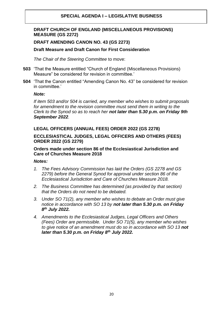## **SPECIAL AGENDA I – LEGISLATIVE BUSINESS**

## **DRAFT CHURCH OF ENGLAND (MISCELLANEOUS PROVISIONS) MEASURE (GS 2272)**

## **DRAFT AMENDING CANON NO. 43 (GS 2273)**

## **Draft Measure and Draft Canon for First Consideration**

*The Chair of the Steering Committee* to move:

- **503** 'That the Measure entitled "Church of England (Miscellaneous Provisions) Measure" be considered for revision in committee.'
- **504** 'That the Canon entitled "Amending Canon No. 43" be considered for revision in committee.'

#### *Note:*

*If item 503 and/or 504 is carried, any member who wishes to submit proposals for amendment to the revision committee must send them in writing to the Clerk to the Synod so as to reach her not later than 5.30 p.m. on Friday 9th September 2022.*

## **LEGAL OFFICERS (ANNUAL FEES) ORDER 2022 (GS 2278)**

## **ECCLESIASTICAL JUDGES, LEGAL OFFICERS AND OTHERS (FEES) ORDER 2022 (GS 2279)**

## **Orders made under section 86 of the Ecclesiastical Jurisdiction and Care of Churches Measure 2018**

#### *Notes:*

- *1. The Fees Advisory Commission has laid the Orders (GS 2278 and GS 2279) before the General Synod for approval under section 86 of the Ecclesiastical Jurisdiction and Care of Churches Measure 2018.*
- *2. The Business Committee has determined (as provided by that section) that the Orders do not need to be debated.*
- *3. Under SO 71(2), any member who wishes to debate an Order must give notice in accordance with SO 13 by not later than 5.30 p.m. on Friday 8 th July 2022.*
- *4. Amendments to the Ecclesiastical Judges, Legal Officers and Others (Fees) Order are permissible. Under SO 71(5), any member who wishes to give notice of an amendment must do so in accordance with SO 13 not later than 5.30 p.m. on Friday 8th July 2022.*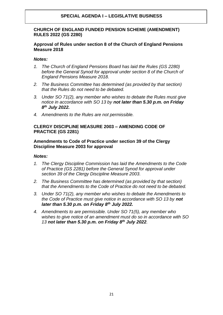## **SPECIAL AGENDA I – LEGISLATIVE BUSINESS**

## **CHURCH OF ENGLAND FUNDED PENSION SCHEME (AMENDMENT) RULES 2022 (GS 2280)**

#### **Approval of Rules under section 8 of the Church of England Pensions Measure 2018**

## *Notes:*

- *1. The Church of England Pensions Board has laid the Rules (GS 2280) before the General Synod for approval under section 8 of the Church of England Pensions Measure 2018.*
- *2. The Business Committee has determined (as provided by that section) that the Rules do not need to be debated.*
- *3. Under SO 71(2), any member who wishes to debate the Rules must give notice in accordance with SO 13 by not later than 5.30 p.m. on Friday 8 th July 2022.*
- *4. Amendments to the Rules are not permissible.*

#### **CLERGY DISCIPLINE MEASURE 2003 – AMENDING CODE OF PRACTICE (GS 2281)**

#### **Amendments to Code of Practice under section 39 of the Clergy Discipline Measure 2003 for approval**

#### *Notes:*

- *1. The Clergy Discipline Commission has laid the Amendments to the Code of Practice (GS 2281) before the General Synod for approval under section 39 of the Clergy Discipline Measure 2003.*
- *2. The Business Committee has determined (as provided by that section) that the Amendments to the Code of Practice do not need to be debated.*
- *3. Under SO 71(2), any member who wishes to debate the Amendments to the Code of Practice must give notice in accordance with SO 13 by not later than 5.30 p.m. on Friday 8th July 2022.*
- *4. Amendments to are permissible. Under SO 71(5), any member who wishes to give notice of an amendment must do so in accordance with SO 13 not later than 5.30 p.m. on Friday 8th July 2022.*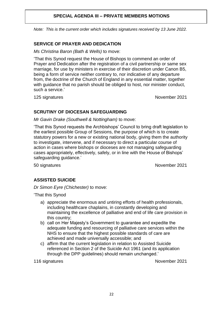## **SPECIAL AGENDA III – PRIVATE MEMBERS MOTIONS**

*Note: This is the current order which includes signatures received by 13 June 2022.* 

## **SERVICE OF PRAYER AND DEDICATION**

*Ms Christina Baron (Bath & Wells)* to move:

'That this Synod request the House of Bishops to commend an order of Prayer and Dedication after the registration of a civil partnership or same sex marriage, for use by ministers in exercise of their discretion under Canon B5, being a form of service neither contrary to, nor indicative of any departure from, the doctrine of the Church of England in any essential matter, together with guidance that no parish should be obliged to host, nor minister conduct, such a service.'

125 signatures November 2021

#### **SCRUTINY OF DIOCESAN SAFEGUARDING**

*Mr Gavin Drake (Southwell & Nottingham)* to move:

'That this Synod requests the Archbishops' Council to bring draft legislation to the earliest possible Group of Sessions, the purpose of which is to create statutory powers for a new or existing national body, giving them the authority to investigate, intervene, and if necessary to direct a particular course of action in cases where bishops or dioceses are not managing safeguarding cases appropriately, effectively, safely, or in line with the House of Bishops' safeguarding guidance.'

50 signatures November 2021

## **ASSISTED SUICIDE**

*Dr Simon Eyre (Chichester)* to move:

'That this Synod

- a) appreciate the enormous and untiring efforts of health professionals, including healthcare chaplains, in constantly developing and maintaining the excellence of palliative and end of life care provision in this country;
- b) call on Her Majesty's Government to guarantee and expedite the adequate funding and resourcing of palliative care services within the NHS to ensure that the highest possible standards of care are achieved and made universally accessible; and
- c) affirm that the current legislation in relation to Assisted Suicide referenced in Section 2 of the Suicide Act 1961 (and its application through the DPP guidelines) should remain unchanged.'

116 signatures November 2021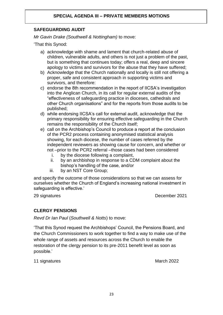## **SAFEGUARDING AUDIT**

*Mr Gavin Drake (Southwell & Nottingham)* to move:

'That this Synod:

- a) acknowledge with shame and lament that church-related abuse of children, vulnerable adults, and others is not just a problem of the past, but is something that continues today; offers a real, deep and sincere apology to victims and survivors for the abuse that they have suffered;
- b) Acknowledge that the Church nationally and locally is still not offering a proper, safe and consistent approach in supporting victims and survivors, and therefore:
- c) endorse the 8th recommendation in the report of IICSA's investigation into the Anglican Church, in its call for regular external audits of the "effectiveness of safeguarding practice in dioceses, cathedrals and other Church organisations" and for the reports from those audits to be published;
- d) while endorsing IICSA's call for external audit, acknowledge that the primary responsibility for ensuring effective safeguarding in the Church remains the responsibility of the Church itself;
- e) call on the Archbishop's Council to produce a report at the conclusion of the PCR2 process containing anonymised statistical analysis showing, for each diocese, the number of cases referred by the independent reviewers as showing cause for concern, and whether or not –prior to the PCR2 referral –those cases had been considered
	- i. by the diocese following a complaint,
	- ii. by an archbishop in response to a CDM complaint about the bishop's handling of the case, and/or
	- iii. by an NST Core Group;

and specify the outcome of those considerations so that we can assess for ourselves whether the Church of England's increasing national investment in safeguarding is effective.'

29 signatures December 2021

## **CLERGY PENSIONS**

*Revd Dr Ian Paul* (*Southwell & Notts*) to move:

'That this Synod request the Archbishops' Council, the Pensions Board, and the Church Commissioners to work together to find a way to make use of the whole range of assets and resources across the Church to enable the restoration of the clergy pension to its pre-2011 benefit level as soon as possible.'

11 signatures March 2022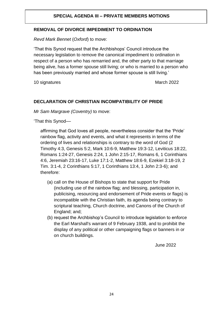## **SPECIAL AGENDA III – PRIVATE MEMBERS MOTIONS**

## **REMOVAL OF DIVORCE IMPEDIMENT TO ORDINATION**

*Revd Mark Bennet* (*Oxford*) to move:

'That this Synod request that the Archbishops' Council introduce the necessary legislation to remove the canonical impediment to ordination in respect of a person who has remarried and, the other party to that marriage being alive, has a former spouse still living; or who is married to a person who has been previously married and whose former spouse is still living.'

10 signatures March 2022

## **DECLARATION OF CHRISTIAN INCOMPATIBILITY OF PRIDE**

*Mr Sam Margrave (Coventry)* to move:

'That this Synod––

affirming that God loves all people, nevertheless consider that the 'Pride' rainbow flag, activity and events, and what it represents in terms of the ordering of lives and relationships is contrary to the word of God (2 Timothy 4:3, Genesis 5:2, Mark 10:6-9, Matthew 19:3-12, Leviticus 18:22, Romans 1:24-27, Genesis 2:24, 1 John 2:15-17, Romans 6, 1 Corinthians 4:6, Jeremiah 23:16-17, Luke 17:1-2, Matthew 18:6-9, Ezekiel 3:18-19, 2 Tim. 3:1-4, 2 Corinthians 5:17, 1 Corinthians 13:4, 1 John 2:3-6); and therefore:

- (a) call on the House of Bishops to state that support for Pride (including use of the rainbow flag; and blessing, participation in, publicising, resourcing and endorsement of Pride events or flags) is incompatible with the Christian faith, its agenda being contrary to scriptural teaching, Church doctrine, and Canons of the Church of England; and;
- (b) request the Archbishop's Council to introduce legislation to enforce the Earl Marshall's warrant of 9 February 1938, and to prohibit the display of any political or other campaigning flags or banners in or on church buildings.

June 2022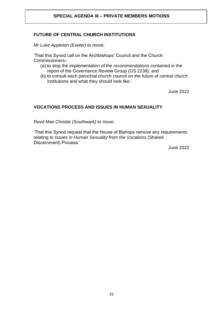## **SPECIAL AGENDA III – PRIVATE MEMBERS MOTIONS**

## **FUTURE OF CENTRAL CHURCH INSTITUTIONS**

*Mr Luke Appleton (Exeter)* to move:

'That this Synod call on the Archbishops' Council and the Church Commissioners–

- (a) to stop the implementation of the recommendations contained in the report of the Governance Review Group (GS 2239); and
- (b) to consult each parochial church council on the future of central church institutions and what they should look like.'

June 2022

## **VOCATIONS PROCESS AND ISSUES IN HUMAN SEXUALITY**

*Revd Mae Christie (Southwark)* to move:

'That this Synod request that the House of Bishops remove any requirements relating to *Issues in Human Sexuality* from the Vocations (Shared Discernment) Process.'

June 2022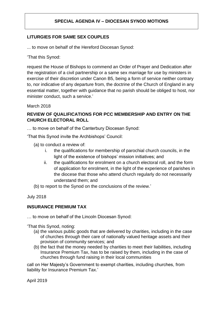## **LITURGIES FOR SAME SEX COUPLES**

... to move on behalf of the Hereford Diocesan Synod:

'That this Synod:

request the House of Bishops to commend an Order of Prayer and Dedication after the registration of a civil partnership or a same sex marriage for use by ministers in exercise of their discretion under Canon B5, being a form of service neither contrary to, nor indicative of any departure from, the doctrine of the Church of England in any essential matter, together with guidance that no parish should be obliged to host, nor minister conduct, such a service.'

March 2018

## **REVIEW OF QUALIFICATIONS FOR PCC MEMBERSHIP AND ENTRY ON THE CHURCH ELECTORAL ROLL**

… to move on behalf of the Canterbury Diocesan Synod:

'That this Synod invite the Archbishops' Council:

- (a) to conduct a review of:
	- i. the qualifications for membership of parochial church councils, in the light of the existence of bishops' mission initiatives; and
	- ii. the qualifications for enrolment on a church electoral roll, and the form of application for enrolment, in the light of the experience of parishes in the diocese that those who attend church regularly do not necessarily understand them; and
- (b) to report to the Synod on the conclusions of the review.'

July 2018

## **INSURANCE PREMIUM TAX**

… to move on behalf of the Lincoln Diocesan Synod:

'That this Synod, noting:

- (a) the various public goods that are delivered by charities, including in the case of churches through their care of nationally valued heritage assets and their provision of community services; and
- (b) the fact that the money needed by charities to meet their liabilities, including Insurance Premium Tax, has to be raised by them, including in the case of churches through fund raising in their local communities

call on Her Majesty's Government to exempt charities, including churches, from liability for Insurance Premium Tax.'

April 2019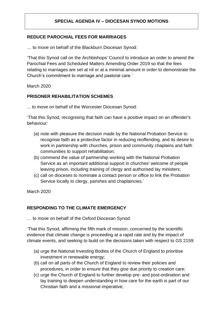## **REDUCE PAROCHIAL FEES FOR MARRIAGES**

… to move on behalf of the Blackburn Diocesan Synod:

'That this Synod call on the Archbishops' Council to introduce an order to amend the Parochial Fees and Scheduled Matters Amending Order 2019 so that the fees relating to marriages are set at nil or at a minimal amount in order to demonstrate the Church's commitment to marriage and pastoral care.'

March 2020

## **PRISONER REHABILITATION SCHEMES**

... to move on behalf of the Worcester Diocesan Synod:

'That this Synod, recognising that faith can have a positive impact on an offender's behaviour:

- (a) note with pleasure the decision made by the National Probation Service to recognise faith as a protective factor in reducing reoffending, and its desire to work in partnership with churches, prison and community chaplains and faith communities to support rehabilitation;
- (b) commend the value of partnership working with the National Probation Service as an important additional support in churches' welcome of people leaving prison, including training of clergy and authorised lay ministers;
- (c) call on dioceses to nominate a contact person or office to link the Probation Service locally to clergy, parishes and chaplaincies.'

March 2020

## **RESPONDING TO THE CLIMATE EMERGENCY**

… to move on behalf of the Oxford Diocesan Synod:

'That this Synod, affirming the fifth mark of mission, concerned by the scientific evidence that climate change is proceeding at a rapid rate and by the impact of climate events, and seeking to build on the decisions taken with respect to GS 2159:

- (a) urge the National Investing Bodies of the Church of England to prioritise investment in renewable energy;
- (b) call on all parts of the Church of England to review their policies and procedures, in order to ensure that they give due priority to creation care;
- (c) urge the Church of England to further develop pre- and post-ordination and lay training to deepen understanding in how care for the earth is part of our Christian faith and a missional imperative;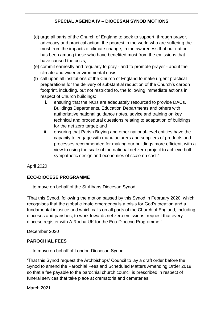- (d) urge all parts of the Church of England to seek to support, through prayer, advocacy and practical action, the poorest in the world who are suffering the most from the impacts of climate change, in the awareness that our nation has been among those who have benefited most from the emissions that have caused the crisis;
- (e) commit earnestly and regularly to pray and to promote prayer about the climate and wider environmental crisis.
- (f) call upon all institutions of the Church of England to make urgent practical preparations for the delivery of substantial reduction of the Church's carbon footprint, including, but not restricted to, the following immediate actions in respect of Church buildings:
	- i. ensuring that the NCIs are adequately resourced to provide DACs, Buildings Departments, Education Departments and others with authoritative national guidance notes, advice and training on key technical and procedural questions relating to adaptation of buildings for the net zero target; and
	- ii. ensuring that Parish Buying and other national-level entities have the capacity to engage with manufacturers and suppliers of products and processes recommended for making our buildings more efficient, with a view to using the scale of the national net zero project to achieve both sympathetic design and economies of scale on cost.'

April 2020

## **ECO-DIOCESE PROGRAMME**

… to move on behalf of the St Albans Diocesan Synod:

'That this Synod, following the motion passed by this Synod in February 2020, which recognises that the global climate emergency is a crisis for God's creation and a fundamental injustice and which calls on all parts of the Church of England, including dioceses and parishes, to work towards net zero emissions, request that every diocese register with A Rocha UK for the Eco-Diocese Programme.'

December 2020

## **PAROCHIAL FEES**

… to move on behalf of London Diocesan Synod

'That this Synod request the Archbishops' Council to lay a draft order before the Synod to amend the Parochial Fees and Scheduled Matters Amending Order 2019 so that a fee payable to the parochial church council is prescribed in respect of funeral services that take place at crematoria and cemeteries.'

March 2021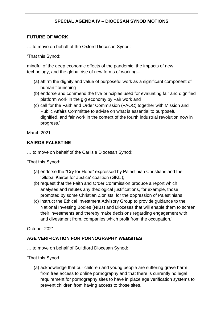## **FUTURE OF WORK**

… to move on behalf of the Oxford Diocesan Synod:

'That this Synod:

mindful of the deep economic effects of the pandemic, the impacts of new technology, and the global rise of new forms of working--

- (a) affirm the dignity and value of purposeful work as a significant component of human flourishing
- (b) endorse and commend the five principles used for evaluating fair and dignified platform work in the gig economy by Fair.work and
- (c) call for the Faith and Order Commission (FAOC) together with Mission and Public Affairs Committee to advise on what is essential to purposeful, dignified, and fair work in the context of the fourth industrial revolution now in progress.'

March 2021

## **KAIROS PALESTINE**

… to move on behalf of the Carlisle Diocesan Synod:

'That this Synod:

- (a) endorse the "Cry for Hope" expressed by Palestinian Christians and the 'Global Kairos for Justice' coalition (GKfJ);
- (b) request that the Faith and Order Commission produce a report which analyses and refutes any theological justifications, for example, those promoted by some Christian Zionists, for the oppression of Palestinians
- (c) instruct the Ethical Investment Advisory Group to provide guidance to the National Investing Bodies (NIBs) and Dioceses that will enable them to screen their investments and thereby make decisions regarding engagement with, and divestment from, companies which profit from the occupation.'

October 2021

## **AGE VERIFICATION FOR PORNOGRAPHY WEBSITES**

… to move on behalf of Guildford Diocesan Synod:

'That this Synod

(a) acknowledge that our children and young people are suffering grave harm from free access to online pornography and that there is currently no legal requirement for pornography sites to have in place age verification systems to prevent children from having access to those sites.